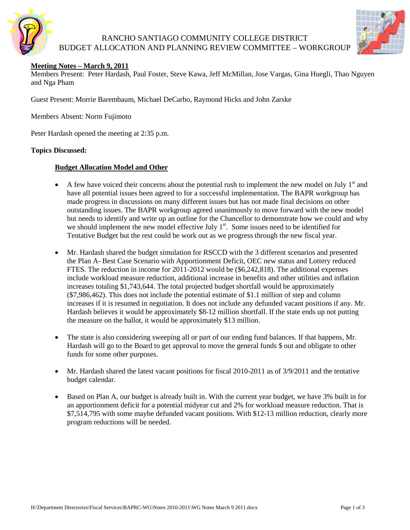

## RANCHO SANTIAGO COMMUNITY COLLEGE DISTRICT BUDGET ALLOCATION AND PLANNING REVIEW COMMITTEE – WORKGROUP



## **Meeting Notes – March 9, 2011**

Members Present: Peter Hardash, Paul Foster, Steve Kawa, Jeff McMillan, Jose Vargas, Gina Huegli, Thao Nguyen and Nga Pham

Guest Present: Morrie Barembaum, Michael DeCarbo, Raymond Hicks and John Zarske

Members Absent: Norm Fujimoto

Peter Hardash opened the meeting at 2:35 p.m.

#### **Topics Discussed:**

#### **Budget Allocation Model and Other**

- A few have voiced their concerns about the potential rush to implement the new model on July  $1<sup>st</sup>$  and have all potential issues been agreed to for a successful implementation. The BAPR workgroup has made progress in discussions on many different issues but has not made final decisions on other outstanding issues. The BAPR workgroup agreed unanimously to move forward with the new model but needs to identify and write up an outline for the Chancellor to demonstrate how we could and why we should implement the new model effective July 1<sup>st</sup>. Some issues need to be identified for Tentative Budget but the rest could be work out as we progress through the new fiscal year.
- Mr. Hardash shared the budget simulation for RSCCD with the 3 different scenarios and presented the Plan A- Best Case Scenario with Apportionment Deficit, OEC new status and Lottery reduced FTES. The reduction in income for 2011-2012 would be (\$6,242,818). The additional expenses include workload measure reduction, additional increase in benefits and other utilities and inflation increases totaling \$1,743,644. The total projected budget shortfall would be approximately (\$7,986,462). This does not include the potential estimate of \$1.1 million of step and column increases if it is resumed in negotiation. It does not include any defunded vacant positions if any. Mr. Hardash believes it would be approximately \$8-12 million shortfall. If the state ends up not putting the measure on the ballot, it would be approximately \$13 million.
- The state is also considering sweeping all or part of our ending fund balances. If that happens, Mr. Hardash will go to the Board to get approval to move the general funds \$ out and obligate to other funds for some other purposes.
- Mr. Hardash shared the latest vacant positions for fiscal 2010-2011 as of 3/9/2011 and the tentative budget calendar.
- Based on Plan A, our budget is already built in. With the current year budget, we have 3% built in for an apportionment deficit for a potential midyear cut and 2% for workload measure reduction. That is \$7,514,795 with some maybe defunded vacant positions. With \$12-13 million reduction, clearly more program reductions will be needed.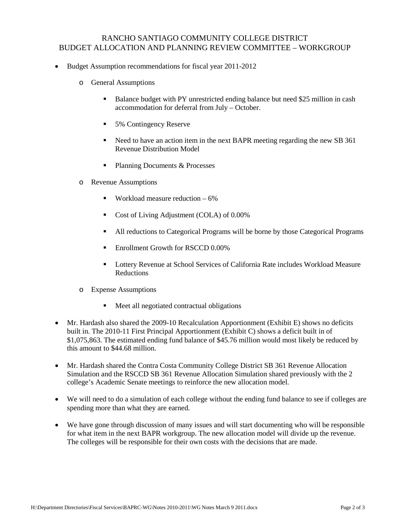# RANCHO SANTIAGO COMMUNITY COLLEGE DISTRICT BUDGET ALLOCATION AND PLANNING REVIEW COMMITTEE – WORKGROUP

- Budget Assumption recommendations for fiscal year 2011-2012
	- o General Assumptions
		- Balance budget with PY unrestricted ending balance but need \$25 million in cash accommodation for deferral from July – October.
		- 5% Contingency Reserve
		- Need to have an action item in the next BAPR meeting regarding the new SB 361 Revenue Distribution Model
		- Planning Documents & Processes
	- o Revenue Assumptions
		- **Workload measure reduction 6%**
		- Cost of Living Adjustment (COLA) of 0.00%
		- All reductions to Categorical Programs will be borne by those Categorical Programs
		- **Enrollment Growth for RSCCD 0.00%**
		- Lottery Revenue at School Services of California Rate includes Workload Measure Reductions
	- o Expense Assumptions
		- Meet all negotiated contractual obligations
- Mr. Hardash also shared the 2009-10 Recalculation Apportionment (Exhibit E) shows no deficits built in. The 2010-11 First Principal Apportionment (Exhibit C) shows a deficit built in of \$1,075,863. The estimated ending fund balance of \$45.76 million would most likely be reduced by this amount to \$44.68 million.
- Mr. Hardash shared the Contra Costa Community College District SB 361 Revenue Allocation Simulation and the RSCCD SB 361 Revenue Allocation Simulation shared previously with the 2 college's Academic Senate meetings to reinforce the new allocation model.
- We will need to do a simulation of each college without the ending fund balance to see if colleges are spending more than what they are earned.
- We have gone through discussion of many issues and will start documenting who will be responsible for what item in the next BAPR workgroup. The new allocation model will divide up the revenue. The colleges will be responsible for their own costs with the decisions that are made.